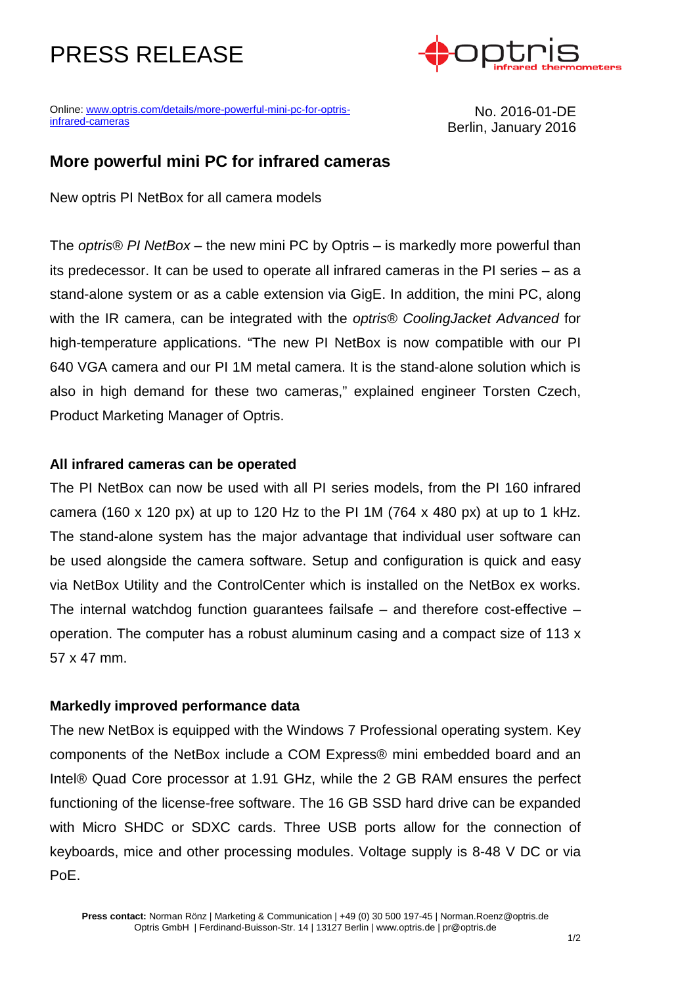# PRESS RELEASE



Online[: www.optris.com/details/more-powerful-mini-pc-for-optris](http://www.optris.com/details/more-powerful-mini-pc-for-optris-infrared-cameras)[infrared-cameras](http://www.optris.com/details/more-powerful-mini-pc-for-optris-infrared-cameras)

No. 2016-01-DE Berlin, January 2016

### **More powerful mini PC for infrared cameras**

New optris PI NetBox for all camera models

The *optris® PI NetBox* – the new mini PC by Optris – is markedly more powerful than its predecessor. It can be used to operate all infrared cameras in the PI series – as a stand-alone system or as a cable extension via GigE. In addition, the mini PC, along with the IR camera, can be integrated with the *optris® CoolingJacket Advanced* for high-temperature applications. "The new PI NetBox is now compatible with our PI 640 VGA camera and our PI 1M metal camera. It is the stand-alone solution which is also in high demand for these two cameras," explained engineer Torsten Czech, Product Marketing Manager of Optris.

### **All infrared cameras can be operated**

The PI NetBox can now be used with all PI series models, from the PI 160 infrared camera (160 x 120 px) at up to 120 Hz to the PI 1M (764 x 480 px) at up to 1 kHz. The stand-alone system has the major advantage that individual user software can be used alongside the camera software. Setup and configuration is quick and easy via NetBox Utility and the ControlCenter which is installed on the NetBox ex works. The internal watchdog function guarantees failsafe – and therefore cost-effective – operation. The computer has a robust aluminum casing and a compact size of 113 x 57 x 47 mm.

### **Markedly improved performance data**

The new NetBox is equipped with the Windows 7 Professional operating system. Key components of the NetBox include a COM Express® mini embedded board and an Intel® Quad Core processor at 1.91 GHz, while the 2 GB RAM ensures the perfect functioning of the license-free software. The 16 GB SSD hard drive can be expanded with Micro SHDC or SDXC cards. Three USB ports allow for the connection of keyboards, mice and other processing modules. Voltage supply is 8-48 V DC or via PoE.